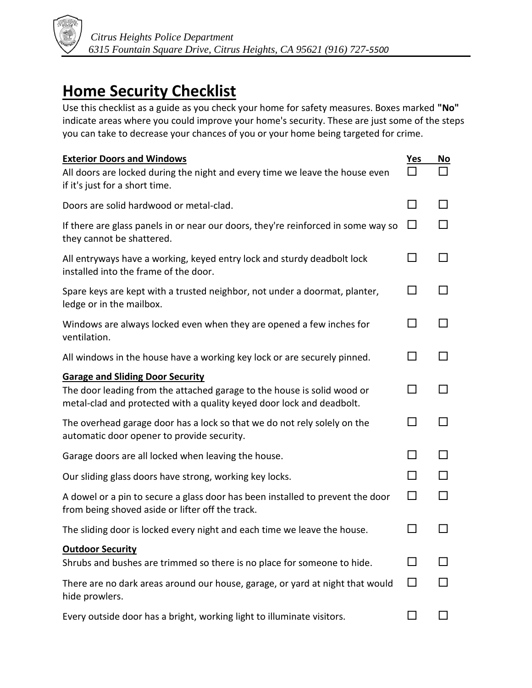

## **Home Security Checklist**

Use this checklist as a guide as you check your home for safety measures. Boxes marked **"No"** indicate areas where you could improve your home's security. These are just some of the steps you can take to decrease your chances of you or your home being targeted for crime.

| <b>Exterior Doors and Windows</b>                                                                                                                | <u>Yes</u>     | <u>No</u> |
|--------------------------------------------------------------------------------------------------------------------------------------------------|----------------|-----------|
| All doors are locked during the night and every time we leave the house even<br>if it's just for a short time.                                   |                |           |
| Doors are solid hardwood or metal-clad.                                                                                                          | $\mathbf{I}$   |           |
| If there are glass panels in or near our doors, they're reinforced in some way so<br>they cannot be shattered.                                   | ΙI             |           |
| All entryways have a working, keyed entry lock and sturdy deadbolt lock<br>installed into the frame of the door.                                 |                |           |
| Spare keys are kept with a trusted neighbor, not under a doormat, planter,<br>ledge or in the mailbox.                                           |                |           |
| Windows are always locked even when they are opened a few inches for<br>ventilation.                                                             |                |           |
| All windows in the house have a working key lock or are securely pinned.                                                                         |                |           |
| <b>Garage and Sliding Door Security</b>                                                                                                          |                |           |
| The door leading from the attached garage to the house is solid wood or<br>metal-clad and protected with a quality keyed door lock and deadbolt. |                |           |
| The overhead garage door has a lock so that we do not rely solely on the<br>automatic door opener to provide security.                           |                |           |
| Garage doors are all locked when leaving the house.                                                                                              |                |           |
| Our sliding glass doors have strong, working key locks.                                                                                          | $\blacksquare$ |           |
| A dowel or a pin to secure a glass door has been installed to prevent the door<br>from being shoved aside or lifter off the track.               | П              |           |
| The sliding door is locked every night and each time we leave the house.                                                                         |                |           |
| <b>Outdoor Security</b>                                                                                                                          |                |           |
| Shrubs and bushes are trimmed so there is no place for someone to hide.                                                                          |                |           |
| There are no dark areas around our house, garage, or yard at night that would<br>hide prowlers.                                                  |                |           |
| Every outside door has a bright, working light to illuminate visitors.                                                                           |                |           |